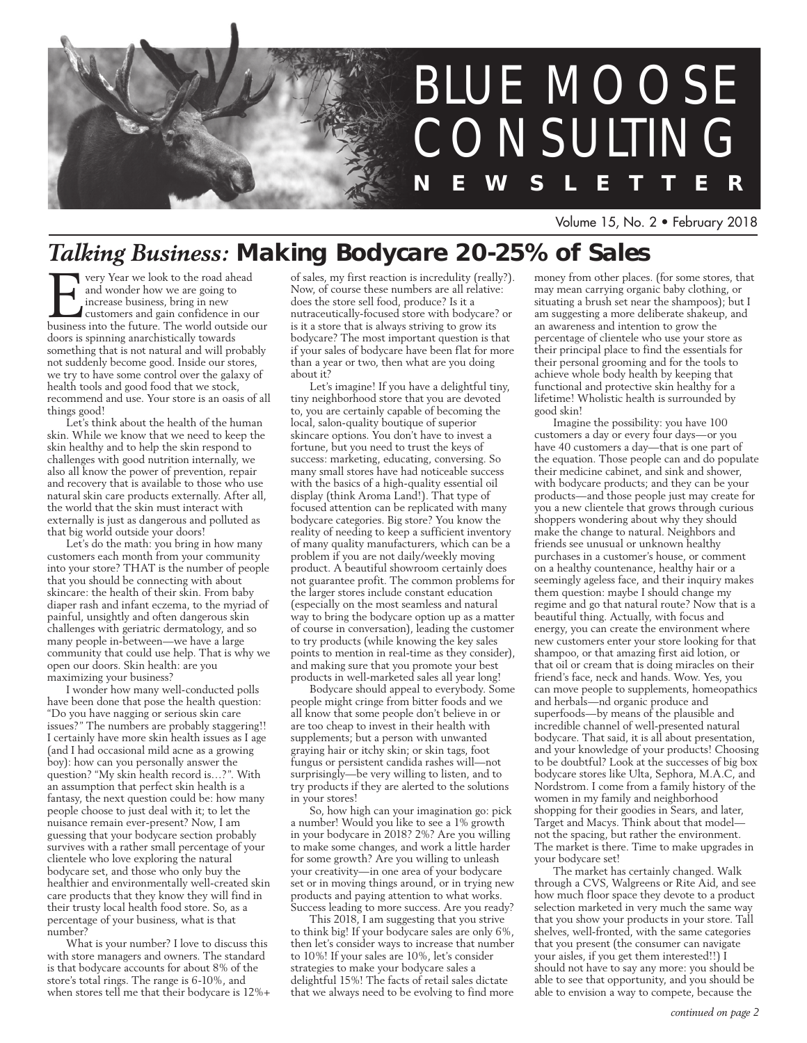

Volume 15, No. 2 • February 2018

## *Talking Business:* **Making Bodycare 20-25% of Sales**

For Vear we look to the road ahead<br>
and wonder how we are going to<br>
increase business, bring in new<br>
customers and gain confidence in our<br>
business into the future. The world outside our and wonder how we are going to increase business, bring in new customers and gain confidence in our doors is spinning anarchistically towards something that is not natural and will probably not suddenly become good. Inside our stores, we try to have some control over the galaxy of health tools and good food that we stock, recommend and use. Your store is an oasis of all things good!

Let's think about the health of the human skin. While we know that we need to keep the skin healthy and to help the skin respond to challenges with good nutrition internally, we also all know the power of prevention, repair and recovery that is available to those who use natural skin care products externally. After all, the world that the skin must interact with externally is just as dangerous and polluted as that big world outside your doors!

Let's do the math: you bring in how many customers each month from your community into your store? THAT is the number of people that you should be connecting with about skincare: the health of their skin. From baby diaper rash and infant eczema, to the myriad of painful, unsightly and often dangerous skin challenges with geriatric dermatology, and so many people in-between—we have a large community that could use help. That is why we open our doors. Skin health: are you maximizing your business?

I wonder how many well-conducted polls have been done that pose the health question: "Do you have nagging or serious skin care issues?" The numbers are probably staggering!! I certainly have more skin health issues as I age (and I had occasional mild acne as a growing boy): how can you personally answer the question? "My skin health record is…?". With an assumption that perfect skin health is a fantasy, the next question could be: how many people choose to just deal with it; to let the nuisance remain ever-present? Now, I am guessing that your bodycare section probably survives with a rather small percentage of your clientele who love exploring the natural bodycare set, and those who only buy the healthier and environmentally well-created skin care products that they know they will find in their trusty local health food store. So, as a percentage of your business, what is that number?

What is your number? I love to discuss this with store managers and owners. The standard is that bodycare accounts for about 8% of the store's total rings. The range is 6-10%, and when stores tell me that their bodycare is 12%+ of sales, my first reaction is incredulity (really?). Now, of course these numbers are all relative: does the store sell food, produce? Is it a nutraceutically-focused store with bodycare? or is it a store that is always striving to grow its bodycare? The most important question is that if your sales of bodycare have been flat for more than a year or two, then what are you doing about it?

Let's imagine! If you have a delightful tiny, tiny neighborhood store that you are devoted to, you are certainly capable of becoming the local, salon-quality boutique of superior skincare options. You don't have to invest a fortune, but you need to trust the keys of success: marketing, educating, conversing. So many small stores have had noticeable success with the basics of a high-quality essential oil display (think Aroma Land!). That type of focused attention can be replicated with many bodycare categories. Big store? You know the reality of needing to keep a sufficient inventory of many quality manufacturers, which can be a problem if you are not daily/weekly moving product. A beautiful showroom certainly does not guarantee profit. The common problems for the larger stores include constant education (especially on the most seamless and natural way to bring the bodycare option up as a matter of course in conversation), leading the customer to try products (while knowing the key sales points to mention in real-time as they consider), and making sure that you promote your best products in well-marketed sales all year long!

Bodycare should appeal to everybody. Some people might cringe from bitter foods and we all know that some people don't believe in or are too cheap to invest in their health with supplements; but a person with unwanted graying hair or itchy skin; or skin tags, foot fungus or persistent candida rashes will—not surprisingly—be very willing to listen, and to try products if they are alerted to the solutions in your stores!

So, how high can your imagination go: pick a number! Would you like to see a 1% growth in your bodycare in 2018? 2%? Are you willing to make some changes, and work a little harder for some growth? Are you willing to unleash your creativity—in one area of your bodycare set or in moving things around, or in trying new products and paying attention to what works. Success leading to more success. Are you ready?

This 2018, I am suggesting that you strive to think big! If your bodycare sales are only 6%, then let's consider ways to increase that number to 10%! If your sales are 10%, let's consider strategies to make your bodycare sales a delightful 15%! The facts of retail sales dictate that we always need to be evolving to find more

money from other places. (for some stores, that may mean carrying organic baby clothing, or situating a brush set near the shampoos); but I am suggesting a more deliberate shakeup, and an awareness and intention to grow the percentage of clientele who use your store as their principal place to find the essentials for their personal grooming and for the tools to achieve whole body health by keeping that functional and protective skin healthy for a lifetime! Wholistic health is surrounded by good skin!

Imagine the possibility: you have 100 customers a day or every four days—or you have 40 customers a day—that is one part of the equation. Those people can and do populate their medicine cabinet, and sink and shower, with bodycare products; and they can be your products—and those people just may create for you a new clientele that grows through curious shoppers wondering about why they should make the change to natural. Neighbors and friends see unusual or unknown healthy purchases in a customer's house, or comment on a healthy countenance, healthy hair or a seemingly ageless face, and their inquiry makes them question: maybe I should change my regime and go that natural route? Now that is a beautiful thing. Actually, with focus and energy, you can create the environment where new customers enter your store looking for that shampoo, or that amazing first aid lotion, or that oil or cream that is doing miracles on their friend's face, neck and hands. Wow. Yes, you can move people to supplements, homeopathics and herbals—nd organic produce and superfoods—by means of the plausible and incredible channel of well-presented natural bodycare. That said, it is all about presentation, and your knowledge of your products! Choosing to be doubtful? Look at the successes of big box bodycare stores like Ulta, Sephora, M.A.C, and Nordstrom. I come from a family history of the women in my family and neighborhood shopping for their goodies in Sears, and later, Target and Macys. Think about that model not the spacing, but rather the environment. The market is there. Time to make upgrades in your bodycare set!

The market has certainly changed. Walk through a CVS, Walgreens or Rite Aid, and see how much floor space they devote to a product selection marketed in very much the same way that you show your products in your store. Tall shelves, well-fronted, with the same categories that you present (the consumer can navigate your aisles, if you get them interested!!) I should not have to say any more: you should be able to see that opportunity, and you should be able to envision a way to compete, because the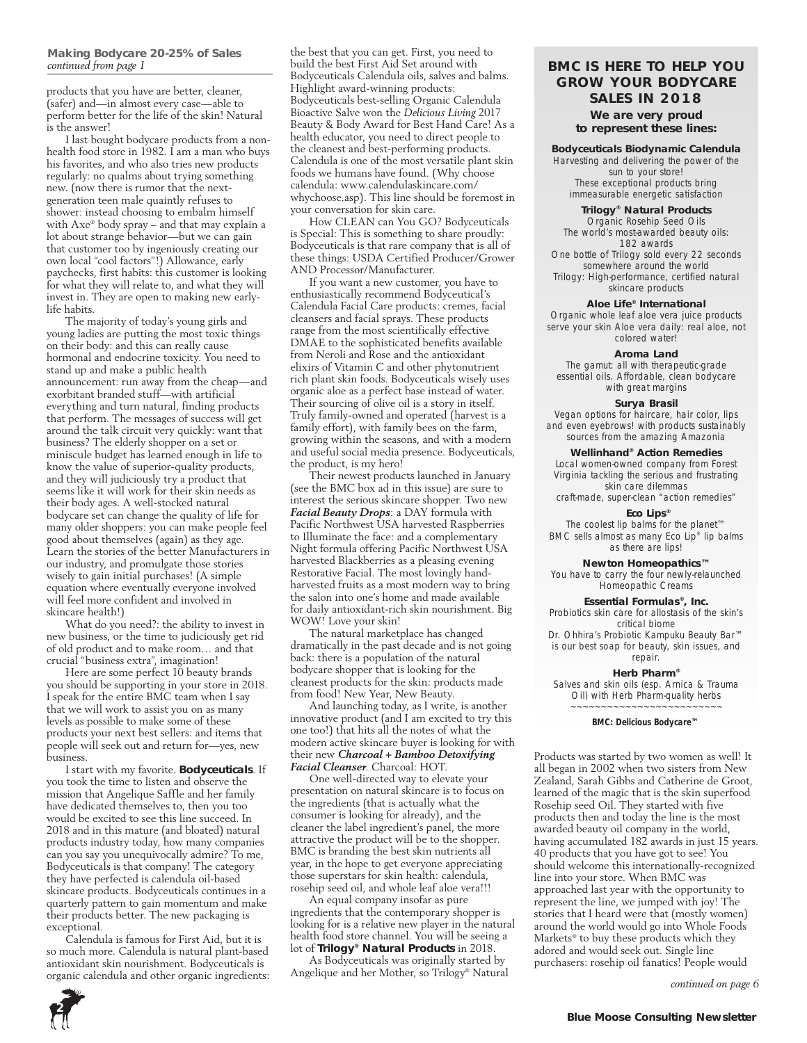products that you have are better, cleaner, (safer) and—in almost every case—able to perform better for the life of the skin! Natural is the answer!

I last bought bodycare products from a nonhealth food store in 1982. I am a man who buys his favorites, and who also tries new products regularly: no qualms about trying something new. (now there is rumor that the nextgeneration teen male quaintly refuses to shower: instead choosing to embalm himself with Axe® body spray – and that may explain a lot about strange behavior—but we can gain that customer too by ingeniously creating our own local "cool factors"!) Allowance, early paychecks, first habits: this customer is looking for what they will relate to, and what they will invest in. They are open to making new earlylife habits.

The majority of today's young girls and young ladies are putting the most toxic things on their body: and this can really cause hormonal and endocrine toxicity. You need to stand up and make a public health announcement: run away from the cheap—and exorbitant branded stuff—with artificial everything and turn natural, finding products that perform. The messages of success will get around the talk circuit very quickly: want that business? The elderly shopper on a set or miniscule budget has learned enough in life to know the value of superior-quality products, and they will judiciously try a product that seems like it will work for their skin needs as their body ages. A well-stocked natural bodycare set can change the quality of life for many older shoppers: you can make people feel good about themselves (again) as they age. Learn the stories of the better Manufacturers in our industry, and promulgate those stories wisely to gain initial purchases! (A simple equation where eventually everyone involved will feel more confident and involved in skincare health!)

What do you need?: the ability to invest in new business, or the time to judiciously get rid of old product and to make room… and that crucial "business extra", imagination!

Here are some perfect 10 beauty brands you should be supporting in your store in 2018. I speak for the entire BMC team when I say that we will work to assist you on as many levels as possible to make some of these products your next best sellers: and items that people will seek out and return for—yes, new business.

I start with my favorite. **Bodyceuticals**. If you took the time to listen and observe the mission that Angelique Saffle and her family have dedicated themselves to, then you too would be excited to see this line succeed. In 2018 and in this mature (and bloated) natural products industry today, how many companies can you say you unequivocally admire? To me, Bodyceuticals is that company! The category they have perfected is calendula oil-based skincare products. Bodyceuticals continues in a quarterly pattern to gain momentum and make their products better. The new packaging is exceptional.

Calendula is famous for First Aid, but it is so much more. Calendula is natural plant-based antioxidant skin nourishment. Bodyceuticals is organic calendula and other organic ingredients:

the best that you can get. First, you need to build the best First Aid Set around with Bodyceuticals Calendula oils, salves and balms. Highlight award-winning products: Bodyceuticals best-selling Organic Calendula Bioactive Salve won the *Delicious Living* 2017 Beauty & Body Award for Best Hand Care! As a health educator, you need to direct people to the cleanest and best-performing products. Calendula is one of the most versatile plant skin foods we humans have found. (Why choose calendula: www.calendulaskincare.com/ whychoose.asp). This line should be foremost in your conversation for skin care. *continued from page 1* **BMC IS HERE TO HELP YOU** 

How CLEAN can You GO? Bodyceuticals is Special: This is something to share proudly: Bodyceuticals is that rare company that is all of these things: USDA Certified Producer/Grower AND Processor/Manufacturer.

If you want a new customer, you have to enthusiastically recommend Bodyceutical's Calendula Facial Care products: cremes, facial cleansers and facial sprays. These products range from the most scientifically effective DMAE to the sophisticated benefits available from Neroli and Rose and the antioxidant elixirs of Vitamin C and other phytonutrient rich plant skin foods. Bodyceuticals wisely uses organic aloe as a perfect base instead of water. Their sourcing of olive oil is a story in itself. Truly family-owned and operated (harvest is a family effort), with family bees on the farm, growing within the seasons, and with a modern and useful social media presence. Bodyceuticals, the product, is my hero!

Their newest products launched in January (see the BMC box ad in this issue) are sure to interest the serious skincare shopper. Two new *Facial Beauty Drops*: a DAY formula with Pacific Northwest USA harvested Raspberries to Illuminate the face: and a complementary Night formula offering Pacific Northwest USA harvested Blackberries as a pleasing evening Restorative Facial. The most lovingly handharvested fruits as a most modern way to bring the salon into one's home and made available for daily antioxidant-rich skin nourishment. Big WOW! Love your skin!

The natural marketplace has changed dramatically in the past decade and is not going back: there is a population of the natural bodycare shopper that is looking for the cleanest products for the skin: products made from food! New Year, New Beauty.

And launching today, as I write, is another innovative product (and I am excited to try this one too!) that hits all the notes of what the modern active skincare buyer is looking for with their new *Charcoal + Bamboo Detoxifying Facial Cleanser*. Charcoal: HOT.

One well-directed way to elevate your presentation on natural skincare is to focus on the ingredients (that is actually what the consumer is looking for already), and the cleaner the label ingredient's panel, the more attractive the product will be to the shopper. BMC is branding the best skin nutrients all year, in the hope to get everyone appreciating those superstars for skin health: calendula, rosehip seed oil, and whole leaf aloe vera!!!

An equal company insofar as pure ingredients that the contemporary shopper is looking for is a relative new player in the natural health food store channel. You will be seeing a lot of **Trilogy® Natural Products** in 2018.

As Bodyceuticals was originally started by Angelique and her Mother, so Trilogy® Natural

### **GROW YOUR BODYCARE SALES IN 2018**

**We are very proud to represent these lines:**

#### **Bodyceuticals Biodynamic Calendula** Harvesting and delivering the power of the

sun to your store! These exceptional products bring immeasurable energetic satisfaction

### **Trilogy® Natural Products**

Organic Rosehip Seed Oils The world's most-awarded beauty oils: 182 awards One bottle of Trilogy sold every 22 seconds somewhere around the world Trilogy: High-performance, certified natural skincare products

#### **Aloe Life® International**

Organic whole leaf aloe vera juice products serve your skin Aloe vera daily: real aloe, not colored water!

#### **Aroma Land**

The gamut: all with therapeutic-grade essential oils. Affordable, clean bodycare with great margins

#### **Surya Brasil**

Vegan options for haircare, hair color, lips and even eyebrows! with products sustainably sources from the amazing Amazonia

#### **Wellinhand® Action Remedies**

Local women-owned company from Forest Virginia tackling the serious and frustrating skin care dilemmas craft-made, super-clean "action remedies"

### **Eco Lips®**

The coolest lip balms for the planet™ BMC sells almost as many Eco Lip® lip balms as there are lips!

#### **Newton Homeopathics™**

You have to carry the four newly-relaunched Homeopathic Creams

### **Essential Formulas®, Inc.**

Probiotics skin care for allostasis of the skin's critical biome

Dr. Ohhira's Probiotic Kampuku Beauty Bar™ is our best soap for beauty, skin issues, and repair.

#### **Herb Pharm®**

Salves and skin oils (esp. Arnica & Trauma Oil) with Herb Pharm-quality herbs ~~~~~~~~~~~~~~~~~~~~~~~~~

#### *BMC: Delicious Bodycare™*

Products was started by two women as well! It all began in 2002 when two sisters from New Zealand, Sarah Gibbs and Catherine de Groot, learned of the magic that is the skin superfood Rosehip seed Oil. They started with five products then and today the line is the most awarded beauty oil company in the world, having accumulated 182 awards in just 15 years. 40 products that you have got to see! You should welcome this internationally-recognized line into your store. When BMC was approached last year with the opportunity to represent the line, we jumped with joy! The stories that I heard were that (mostly women) around the world would go into Whole Foods Markets® to buy these products which they adored and would seek out. Single line purchasers: rosehip oil fanatics! People would

*continued on page 6*

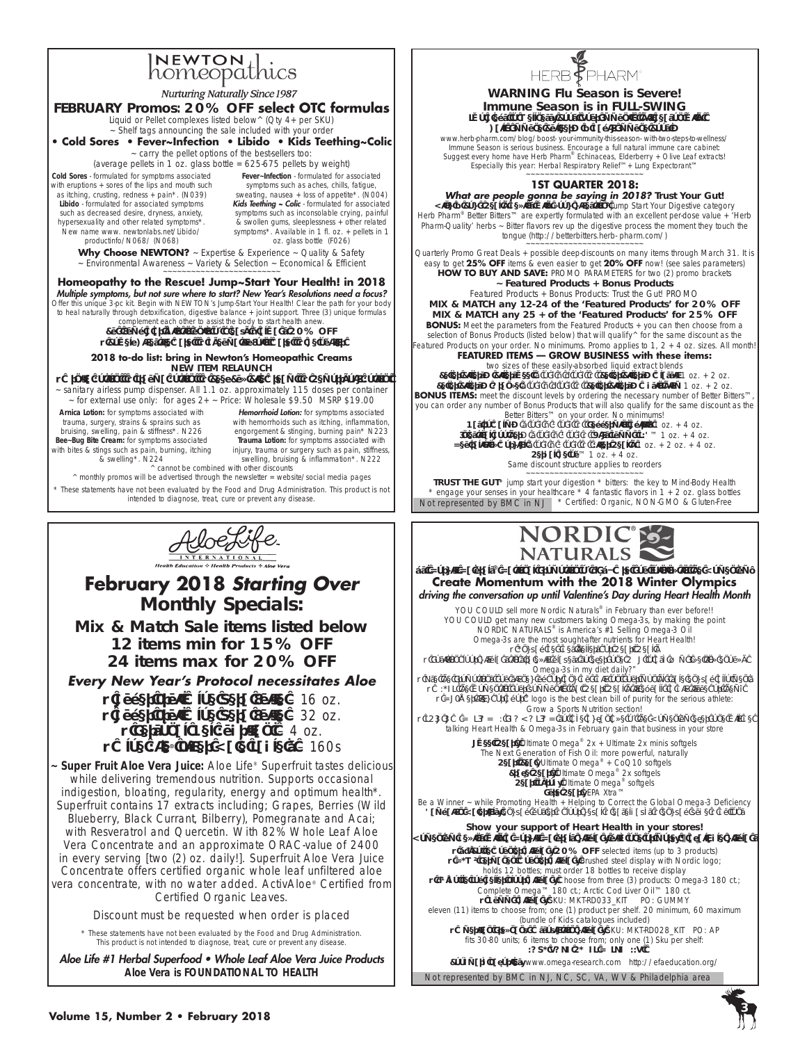# INEWTON thics



\* These statements have not been evaluated by the Food and Drug Administration. This product is not intended to diagnose, treat, cure or prevent any disease.

Aloe Life #1 Herbal Superfood • Whole Leaf Aloe Vera Juice Products *Aloe Vera is FOUNDATIONAL TO HEALTH*





1st Nordic Naturals® National Promotion of 2018 Are you joining in the Momentum? **Create Momentum with the 2018 Winter Olympics** driving the conversation up until Valentine's Day during Heart Health Month

YOU COULD sell more Nordic Naturals® in February than ever before!! YOU COULD get many new customers taking Omega-3s, by making the point NORDIC NATURALS® is America's #1 Selling Omega-3 Oil Omega-3s are the most sought-after nutrients for Heart Health! • Endcap key bestsellers for Heart Health

• Position floor displays in strategic places, so everyone HAS to ask "Am I getting enough Omega-3s in my diet daily?"

• Use the Promotions you signed up for: and buy big on your monthly sale endcap allotments • ALERT the women in your community that Heart Health is equally a big issue for them. • NSF-Certified for Sport® logo is the best clean bill of purity for the serious athlete: Grow a Sports Nutrition section!

• THIS IS A NATIONAL PROMOTION so take advantage of the Momentum everyone will be talking Heart Health & Omega-3s in February gain that business in your store

> Sweet Heart: Ultimate Omega®  $2x +$  Ultimate 2x minis softgels The Next Generation of Fish Oil: more powerful, naturally Heart Beat: Ultimate Omega® + CoQ10 softgels Brave Heart: Ultimate Omega<sup>®</sup> 2x softgels<br>Heart Throb: Ultimate Omega<sup>®</sup> softgels **Pure Heart: EPA Xtra™**

Be a Winner ~ while Promoting Health + Helping to Correct the Global Omega-3 Deficiency Campaign Materials endcap poster · floor decal · easelbacks · endcap cube · buttons

**Show your support of Heart Health in your stores!** Momentum begins with a Nordic Naturals display: pick one or more: 5 available displays • 12-Bottle Counter Display: **20% OFF** selected items (up to 3 products) • NEW! Permanent Counter Display: Brushed steel display with Nordic logo; holds 12 bottles; must order 18 bottles to receive display

• 24-bottle Top Seller Floor Display: Choose from three (3) products: Omega-3 180 ct.; Complete Omega<sup>™</sup> 180 ct.; Arctic Cod Liver Oil™ 180 ct. • Gummy Display: SKU: MKT-RD033\_KIT PO: GUMMY eleven (11) items to choose from; one (1) product per shelf. 20 minimum, 60 maximum

(bundle of Kids catalogues included) • American Pregnancy Association display: SKU: MKT-RD028\_KIT PO: AP fits 30-80 units; 6 items to choose from; only one (1) Sku per shelf:

LOVE YOUR HEART NATURALLY

Not represented by BMC in NJ, NC, SC, VA, WV & Philadelphia area Bookmark Favorites: www.omega-research.com http://efaeducation.org/

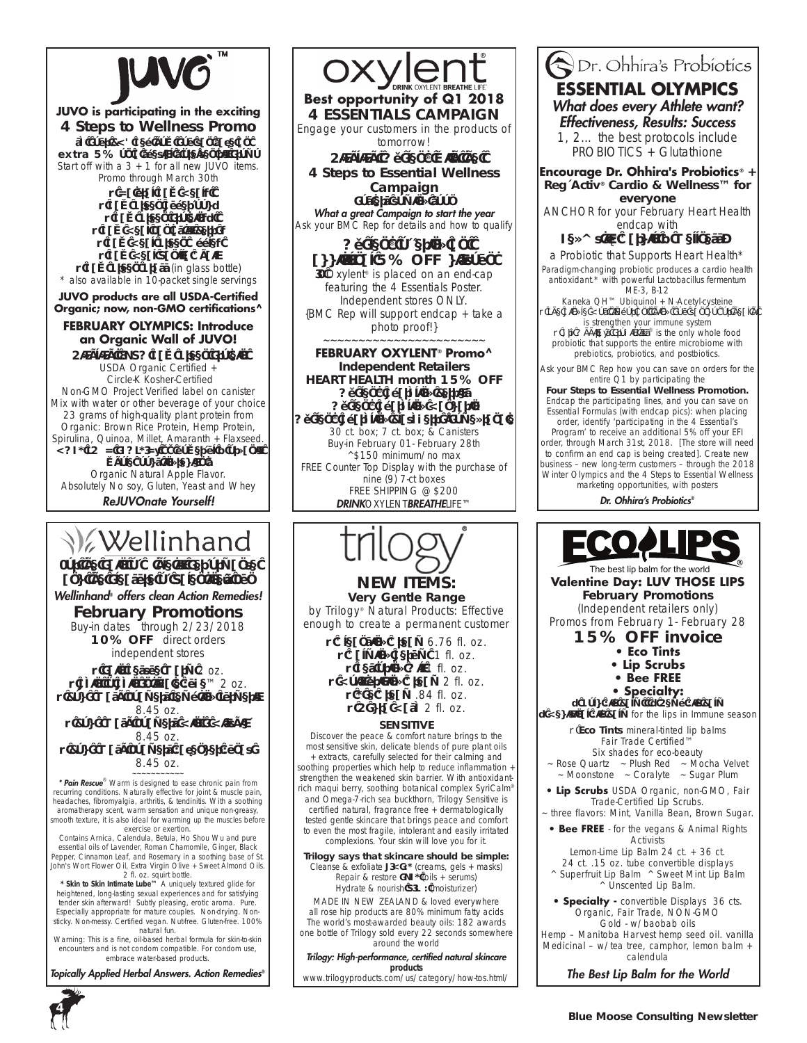

### **JUVO is participating in the exciting 4 Steps to Wellness Promo**

Ask your BMC Rep how you can save an **extra 5%** on a special store-centric Promo Start off with a  $3 + 1$  for all new JUVO items. Promo through March 30th

- Natural Raw Meal\*
- Raw Green Superfood^
- Raw Green Protein\*^
- Raw Meal Fantastic Berry\*
- Raw Meal Green Apple<sup>\*</sup>
- Raw Meal Vanilla Chai\*
- Raw Green Grass (in glass bottle)

\* also available in 10-packet single servings

**JUVO products are all USDA-Certified Organic; now, non-GMO certifications^**

### **FEBRUARY OLYMPICS: Introduce an Organic Wall of JUVO!**

Highlight JUVO Raw Green Protein USDA Organic Certified + Circle-K Kosher-Certified Non-GMO Project Verified label on canister Mix with water or other beverage of your choice 23 grams of high-quality plant protein from Organic: Brown Rice Protein, Hemp Protein, Spirulina, Quinoa, Millet, Amaranth + Flaxseed. MORE THAN PROTEIN: 33 powerful & organic whole foods ingredients Organic Natural Apple Flavor.

Absolutely No soy, Gluten, Yeast and Whey

ReJUVOnate Yourself!

## **V**ellinhand

### For the Pain of Athletic Performance and the Pleasure of Valentine's Fun Wellinhand*®* offers clean Action Remedies!

**February Promotions** Buy-in dates through 2/23/2018 **10% OFF** direct orders independent stores

• Pain Rescue Warm 2 oz. • Skin to Skin Intimate Lube™ 2 oz.

• Body Wash Foamers Tempting Turmeric 8.45 oz.

• Body Wash Foamers Minty Mischief 8.45 oz.

• Body Wash Foamers Lavender Lunacy 8.45 oz.

\* **Pain Rescue**® Warm is designed to ease chronic pain from recurring conditions. Naturally effective for joint & muscle pain, headaches, fibromyalgia, arthritis, & tendinitis. With a soothing aromatherapy scent, warm sensation and unique non-greasy, smooth texture, it is also ideal for warming up the muscles before exercise or exertion.

Contains Arnica, Calendula, Betula, Ho Shou Wu and pure essential oils of Lavender, Roman Chamomile, Ginger, Black Pepper, Cinnamon Leaf, and Rosemary in a soothing base of St. John's Wort Flower Oil, Extra Virgin Olive + Sweet Almond Oils.

2 fl. oz. squirt bottle. *\* Skin to Skin Intimate Lube™* A uniquely textured glide for heightened, long-lasting sexual experiences and for satisfying tender skin afterward! Subtly pleasing, erotic aroma. Pure. Especially appropriate for mature couples. Non-drying. Nonsticky. Non-messy. Certified vegan. Nut-free. Gluten-free. 100%

natural fun. Warning: This is a fine, oil-based herbal formula for skin-to-skin encounters and is not condom compatible. For condom use, embrace water-based products.

Topically Applied Herbal Answers. Action Remedies*®*



**FEBRUARY OXYLENT® Promo^ Independent Retailers HEART HEALTH month 15% OFF** Oxylent® Sparkling Berries Oxylent® Sparkling Mandarin Oxylent® Sparkling Blackberry-Pomegranate

30 ct. box; 7 ct. box; & Canisters Buy-in February 01- February 28th ^\$150 minimum/no max FREE Counter Top Display with the purchase of nine (9) 7-ct boxes FREE SHIPPING @ \$200 DRINK*OXYLENT*BREATHE*LIFE™*



by Trilogy® Natural Products: Effective enough to create a permanent customer

• Cleansing Cream 6.76 fl. oz.

- Calming Serum 1 fl. oz.
- Restoring Oil 1 fl. oz.
- Moisturizing Cream 2 fl. oz.
- Eye Cream .84 fl. oz.
	- Hydra Mask 2 fl. oz.

### **SENSITIVE**

Discover the peace & comfort nature brings to the most sensitive skin, delicate blends of pure plant oils extracts, carefully selected for their calming and soothing properties which help to reduce inflammation + strengthen the weakened skin barrier. With antioxidantrich maqui berry, soothing botanical complex SyriCalm® and Omega-7-rich sea buckthorn, Trilogy Sensitive is certified natural, fragrance free + dermatologically tested gentle skincare that brings peace and comfort to even the most fragile, intolerant and easily irritated complexions. Your skin will love you for it.

**Trilogy says that skincare should be simple:** *Cleanse & exfoliate* SIMPLE (creams, gels + masks) *Repair & restore* PURE (oils + serums) *Hydrate & nourish* VITAL (moisturizer)

MADE IN NEW ZEALAND & loved everywhere all rose hip products are 80% minimum fatty acids The world's most-awarded beauty oils: 182 awards one bottle of Trilogy sold every 22 seconds somewhere around the world

Trilogy: High-performance, certified natural skincare *products* 

www.trilogyproducts.com/us/category/how-tos.html/

### Dr. Ohhira's Probiotics **ESSENTIAL OLYMPICS** What does every Athlete want? Effectiveness, Results: Success 1, 2… the best protocols include

PROBIOTICS + Glutathione

**Encourage Dr. Ohhira's Probiotics® + Reg´Activ® Cardio & Wellness™ for everyone**

ANCHOR for your February Heart Health endcap with

### Reg´Activ® Cardio & Wellness™

a Probiotic that Supports Heart Health\* Paradigm-changing probiotic produces a cardio health antioxidant.\* with powerful *Lactobacillus fermentum ME-3*, B-12

Kaneka QH™ Ubiquinol + N-Acetyl-cysteine The Single Most important thing you can do for health

is strengthen your immune system • Dr. Ohhira's Probiotics® is the only whole food probiotic that supports the entire microbiome with

prebiotics, probiotics, and postbiotics. Ask your BMC Rep how you can save on orders for the

entire Q1 by participating the **Four Steps to Essential Wellness Promotion.**

Endcap the participating lines, and you can save on Essential Formulas (with endcap pics): when placing order, identify 'participating in the 4 Essential's

Program' to receive an additional 5% off your EFI order, through March 31st, 2018. [The store will need to confirm an end cap is being created]. Create new business – new long-term customers – through the 2018 Winter Olympics and the 4 Steps to Essential Wellness marketing opportunities, with posters

Dr. Ohhira's Probiotics*®*



The best lip balm for the world **Valentine Day: LUV THOSE LIPS February Promotions** (Independent retailers only) Promos from February 1- February 28

### **15% OFF invoice**

- **Eco Tints**
- **Lip Scrubs**
- **Bee FREE**
- **Specialty:**

^ Gold Lip Balm ^ Hemp Lip Balm ^ Medicinal Lip Balm for the lips in Immune season

> • **Eco Tints** mineral-tinted lip balms Fair Trade Certified™ Six shades for eco-beauty

- ~ Rose Quartz ~ Plush Red ~ Mocha Velvet  $~\sim$  Moonstone  $~\sim$  Coralyte  $~\sim$  Sugar Plum
- **Lip Scrubs** USDA Organic, non-GMO, Fair Trade-Certified Lip Scrubs.

three flavors: Mint, Vanilla Bean, Brown Sugar.

**• Bee FREE** - for the vegans & Animal Rights **Activists** Lemon-Lime Lip Balm 24 ct. + 36 ct.

24 ct. .15 oz. tube convertible displays ^ Superfruit Lip Balm ^ Sweet Mint Lip Balm ^ Unscented Lip Balm.

**• Specialty -** convertible Displays 36 cts. Organic, Fair Trade, NON-GMO Gold - w/baobab oils

Hemp – Manitoba Harvest hemp seed oil. vanilla Medicinal – w/tea tree, camphor, lemon balm + calendula

The Best Lip Balm for the World



**Very Gentle Range**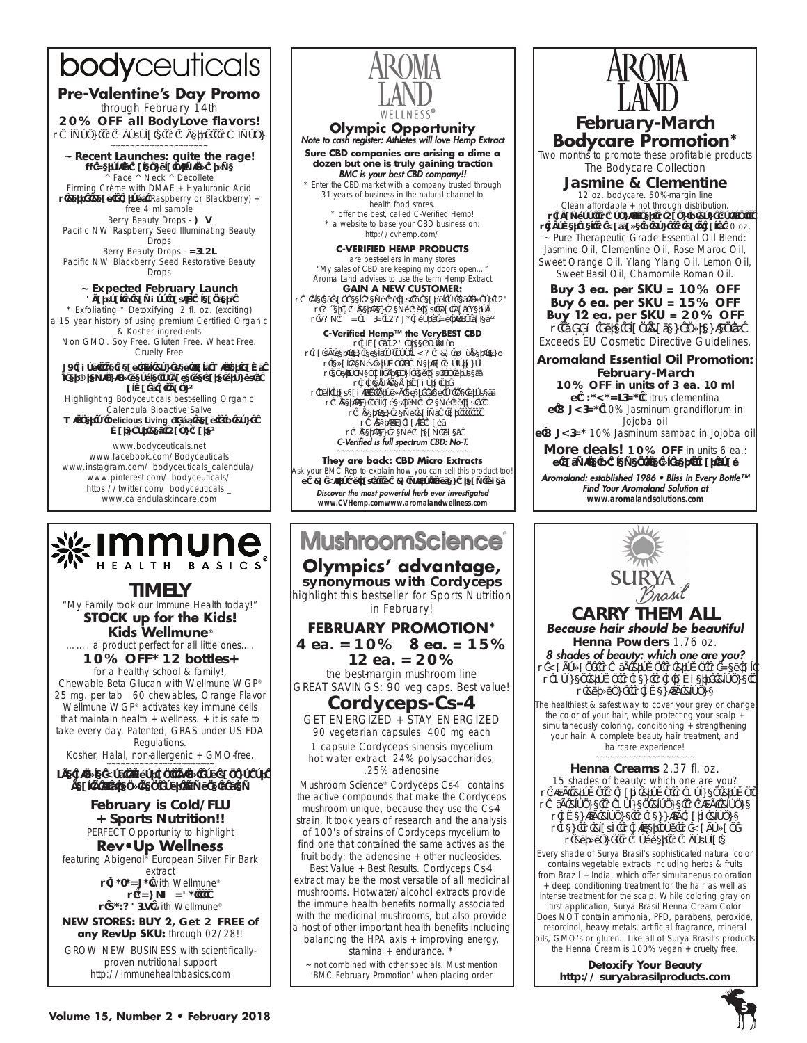# bodyceuticals

### **Pre-Valentine's Day Promo**  through February 14th

**20% OFF all BodyLove flavors!**  • Almond • Chocolate • Cherry • Almond

~~~~~~~~~~~~~~~~~~~~ **~ Recent Launches: quite the rage!** \*\* Neroli + Calendula Firming Crème ^ Face ^ Neck ^ Decollete Firming Crème with DMAE + Hyaluronic Acid • Berry Beauty Drops (Raspberry or Blackberry) + free 4 ml sample

Berry Beauty Drops - DAY Pacific NW Raspberry Seed Illuminating Beauty Drops

Berry Beauty Drops - NIGHT Pacific NW Blackberry Seed Restorative Beauty Drops

#### **~ Expected February Launch** Charcoal + Bamboo Facial Cleanser!

\* Exfoliating \* Detoxifying 2 fl. oz. (exciting) a 15 year history of using premium Certified Organic & Kosher ingredients Non GMO. Soy Free. Gluten Free. Wheat Free.

Cruelty Free

#### ASK about the beautiful Bodyceuticals Winter Paws flyer—reminding people to have petcare products always at hand!

Highlighting Bodyceuticals best-selling Organic .<br>Calendula Bioactive Salve

Winner of *Delicious Living* 2017 Beauty & Body Award for Best Hand Care!

www.bodyceuticals.net www.facebook.com/Bodyceuticals www.instagram.com/ bodyceuticals\_calendula/ www.pinterest.com/ bodyceuticals/ https://twitter.com/ bodyceuticals \_ www.calendulaskincare.com



**TIMELY** "My Family took our Immune Health today!" **STOCK up for the Kids! Kids Wellmune®** ……. a product perfect for all little ones….

**10% OFF\* 12 bottles+**  for a healthy school & family!,

Chewable Beta Glucan with Wellmune WGP® 25 mg. per tab 60 chewables, Orange Flavor Wellmune WGP® activates key immune cells that maintain health  $+$  wellness.  $+$  it is safe to take every day. Patented, GRAS under US FDA Regulations.

Kosher, Halal, non-allergenic + GMO-free.

The Single Most important thing you can do for health is strengthen your immune system

> **February is Cold/FLU + Sports Nutrition!!** PERFECT Opportunity to highlight

### **Rev•Up Wellness**

featuring Abigenol® European Silver Fir Bark extract

- DEFENSE with Wellmune® • ENDURANCE
- VELOCITY with Wellmune®

**NEW STORES: BUY 2, Get 2 free of any RevUp SKU:** through 02/28!!

GROW NEW BUSINESS with scientificallyproven nutritional support http://immunehealthbasics.com



## **Olympic Opportunity** Note to cash register: Athletes will love Hemp Extract

**Sure CBD companies are arising a dime a dozen but one is truly gaining traction** BMC is your best CBD company!!

\* *Enter the CBD market* with a company trusted through 31-years of business in the natural channel to health food stores.

\* offer the best, called *C-Verified Hemp!* \* a website to base your CBD business on: http://cvhemp.com/

### **C-VERIFIED HEMP PRODUCTS**

are best-sellers in many stores *"My sales of CBD are keeping my doors open…"* Aroma Land advises to use the term Hemp Extract **GAIN A NEW CUSTOMER:** 

• Athletes can feel Hemp Extract + fearful of testing for THC

• Offer a C-Verified Hemp Extract that has Zero-T • YOU CAN GAIN THOSE Sports Nutrition sales!

**C-Verified Hemp™ the VeryBEST CBD**<br>• always THC Free [no-"T"] • batch verified levels of non-GMO CBD ["C"-Verified] • legal hemp, grown in America (Colorado)

• environmentally-friendly extraction process • State-of-the-Art Laboratory

• Full Traceability through every step of the process • C-Verified Full Spectrum C Hemp Extracts

• C-Verified Hemp Balms – jar • C-Verified Daily Caps

• C-Verified Hemp Cream tubes

### C-Verified is full spectrum CBD: No-T. ~~~~~~~~~~~~~~~~~~~~~~~~~~~~

**They are back: CBD Micro Extracts** Ask your BMC Rep to explain how you can sell this product too! ~ CBD Micro Extracts ~ CBD micro-infused Cream tubes Discover the most powerful herb ever investigated *www.CVHemp.comwww.aromalandwellness.com*

### **MushroomScience**

**Olympics' advantage, synonymous with Cordyceps** highlight this bestseller for Sports Nutrition in February!

### **FEBRUARY PROMOTION\* 4 ea. = 10% 8 ea. = 15%**

**12 ea. = 20%** the best-margin mushroom line GREAT SAVINGS: 90 veg caps. Best value!

### **Cordyceps-Cs-4**

GET ENERGIZED + STAY ENERGIZED 90 vegetarian capsules 400 mg each 1 capsule Cordyceps sinensis mycelium hot water extract 24% polysaccharides,

.25% adenosine Mushroom Science® Cordyceps Cs-4 contains

the active compounds that make the Cordyceps mushroom unique, because they use the Cs-4 strain. It took years of research and the analysis of 100's of strains of Cordyceps mycelium to find one that contained the same actives as the fruit body: the adenosine + other nucleosides.

Best Value + Best Results. Cordyceps Cs-4 extract may be the most versatile of all medicinal mushrooms. Hot-water/alcohol extracts provide the immune health benefits normally associated with the medicinal mushrooms, but also provide a host of other important health benefits including balancing the HPA axis + improving energy,

stamina + endurance. \*

~ not combined with other specials. Must mention 'BMC February Promotion' when placing order



### **February-March Bodycare Promotion\***

Two months to promote these profitable products The Bodycare Collection

**Jasmine & Clementine**

12 oz. bodycare. 50%-margin line Clean affordable + not through distribution.

• Shampoo • Conditioner • Hand & Body Lotion • Shower Gel • Massage & Body • Bath Salts 20 oz. ~ Pure Therapeutic Grade Essential Oil Blend: Jasmine Oil, Clementine Oil, Rose Maroc Oil, Sweet Orange Oil, Ylang Ylang Oil, Lemon Oil, Sweet Basil Oil, Chamomile Roman Oil.

**Buy 3 ea. per SKU = 10% OFF Buy 6 ea. per SKU = 15% OFF Buy 12 ea. per SKU = 20% OFF**

• 100% Pure Plant-Based Ingredients, Exceeds EU Cosmetic Directive Guidelines.

### **Aromaland Essential Oil Promotion: February-March**

**10% OFF in units of 3 ea. 10 ml** ~ **CLEMENTINE** Citrus clementina ~ JASMINE 10% *Jasminum grandiflorum* in

Jojoba oil ~ JASMINE 10% *Jasminum sambac* in Jojoba oil

**More deals! 10% OFF** in units 6 ea.:

~ Jasmine & Clementine glycerin bar soap

Aromaland: established 1986 • Bliss in Every Bottle™ Find Your Aromaland Solution at *www.aromalandsolutions.com*



15 shades of beauty: which one are you? • Light Brown • Dark Brown • Golden Brown • Ash Blonde • Golden Blonde • Light Blonde • Swedish Blonde • Reddish Dark Blonde

• Red • Black • Silver Fox • Mahogany • Burgundy • Copper • Chocolate

Every shade of Surya Brasil's sophisticated natural color contains vegetable extracts including herbs & fruits from Brazil + India, which offer simultaneous coloration + deep conditioning treatment for the hair as well as intense treatment for the scalp. While coloring gray on first application, Surya Brasil Henna Cream Color Does NOT contain ammonia, PPD, parabens, peroxide, resorcinol, heavy metals, artificial fragrance, mineral oils, GMO's or gluten. Like all of Surya Brasil's products the Henna Cream is 100% vegan + cruelty free.

> **Detoxify Your Beauty http:// suryabrasilproducts.com**



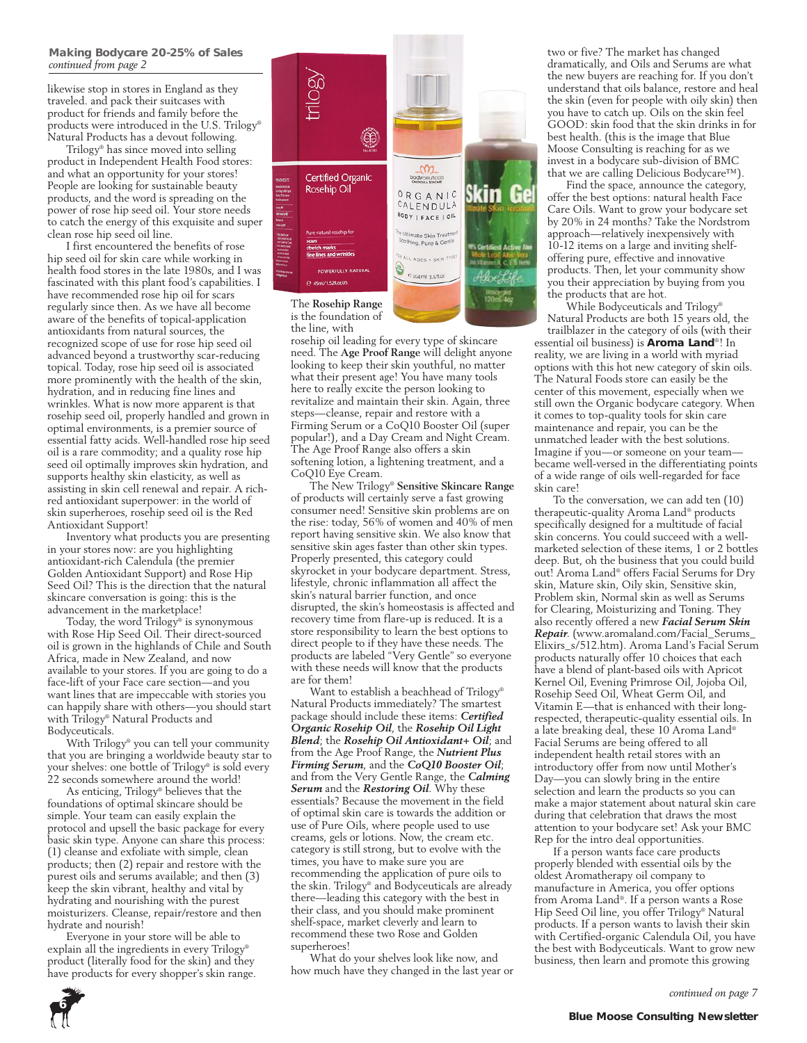likewise stop in stores in England as they traveled. and pack their suitcases with product for friends and family before the products were introduced in the U.S. Trilogy® Natural Products has a devout following.

Trilogy® has since moved into selling product in Independent Health Food stores: and what an opportunity for your stores! People are looking for sustainable beauty products, and the word is spreading on the power of rose hip seed oil. Your store needs to catch the energy of this exquisite and super clean rose hip seed oil line.

I first encountered the benefits of rose hip seed oil for skin care while working in health food stores in the late 1980s, and I was fascinated with this plant food's capabilities. I have recommended rose hip oil for scars regularly since then. As we have all become aware of the benefits of topical-application antioxidants from natural sources, the recognized scope of use for rose hip seed oil advanced beyond a trustworthy scar-reducing topical. Today, rose hip seed oil is associated more prominently with the health of the skin, hydration, and in reducing fine lines and wrinkles. What is now more apparent is that rosehip seed oil, properly handled and grown in optimal environments, is a premier source of essential fatty acids. Well-handled rose hip seed oil is a rare commodity; and a quality rose hip seed oil optimally improves skin hydration, and supports healthy skin elasticity, as well as assisting in skin cell renewal and repair. A richred antioxidant superpower: in the world of skin superheroes, rosehip seed oil is the Red Antioxidant Support!

Inventory what products you are presenting in your stores now: are you highlighting antioxidant-rich Calendula (the premier Golden Antioxidant Support) and Rose Hip Seed Oil? This is the direction that the natural skincare conversation is going: this is the advancement in the marketplace!

Today, the word Trilogy® is synonymous with Rose Hip Seed Oil. Their direct-sourced oil is grown in the highlands of Chile and South Africa, made in New Zealand, and now available to your stores. If you are going to do a face-lift of your Face care section—and you want lines that are impeccable with stories you can happily share with others—you should start with Trilogy® Natural Products and Bodyceuticals.

With Trilogy® you can tell your community that you are bringing a worldwide beauty star to your shelves: one bottle of Trilogy® is sold every 22 seconds somewhere around the world!

As enticing, Trilogy® believes that the foundations of optimal skincare should be simple. Your team can easily explain the protocol and upsell the basic package for every basic skin type. Anyone can share this process: (1) cleanse and exfoliate with simple, clean products; then (2) repair and restore with the purest oils and serums available; and then (3) keep the skin vibrant, healthy and vital by hydrating and nourishing with the purest moisturizers. Cleanse, repair/restore and then hydrate and nourish!

Everyone in your store will be able to explain all the ingredients in every Trilogy® product (literally food for the skin) and they have products for every shopper's skin range.



is the foundation of the line, with

rosehip oil leading for every type of skincare need. The **Age Proof Range** will delight anyone looking to keep their skin youthful, no matter what their present age! You have many tools here to really excite the person looking to revitalize and maintain their skin. Again, three steps—cleanse, repair and restore with a Firming Serum or a CoQ10 Booster Oil (super popular!), and a Day Cream and Night Cream. The Age Proof Range also offers a skin softening lotion, a lightening treatment, and a CoQ10 Eye Cream.

The New Trilogy® **Sensitive Skincare Range** of products will certainly serve a fast growing consumer need! Sensitive skin problems are on the rise: today, 56% of women and 40% of men report having sensitive skin. We also know that sensitive skin ages faster than other skin types. Properly presented, this category could skyrocket in your bodycare department. Stress, lifestyle, chronic inflammation all affect the skin's natural barrier function, and once disrupted, the skin's homeostasis is affected and recovery time from flare-up is reduced. It is a store responsibility to learn the best options to direct people to if they have these needs. The products are labeled "Very Gentle" so everyone with these needs will know that the products are for them!

Want to establish a beachhead of Trilogy® Natural Products immediately? The smartest package should include these items: *Certified Organic Rosehip Oil*, the *Rosehip Oil Light Blend*; the *Rosehip Oil Antioxidant+ Oil*; and from the Age Proof Range, the *Nutrient Plus Firming Serum*, and the *CoQ10 Booster Oil*; and from the Very Gentle Range, the *Calming Serum* and the *Restoring Oil*. Why these essentials? Because the movement in the field of optimal skin care is towards the addition or use of Pure Oils, where people used to use creams, gels or lotions. Now, the cream etc. category is still strong, but to evolve with the times, you have to make sure you are recommending the application of pure oils to the skin. Trilogy® and Bodyceuticals are already there—leading this category with the best in their class, and you should make prominent shelf-space, market cleverly and learn to recommend these two Rose and Golden superheroes!

What do your shelves look like now, and how much have they changed in the last year or two or five? The market has changed dramatically, and Oils and Serums are what the new buyers are reaching for. If you don't understand that oils balance, restore and heal the skin (even for people with oily skin) then you have to catch up. Oils on the skin feel GOOD: skin food that the skin drinks in for best health. (this is the image that Blue Moose Consulting is reaching for as we invest in a bodycare sub-division of BMC that we are calling Delicious Bodycare™).

Find the space, announce the category, offer the best options: natural health Face Care Oils. Want to grow your bodycare set by 20% in 24 months? Take the Nordstrom approach—relatively inexpensively with 10-12 items on a large and inviting shelfoffering pure, effective and innovative products. Then, let your community show you their appreciation by buying from you the products that are hot.

While Bodyceuticals and Trilogy® Natural Products are both 15 years old, the

trailblazer in the category of oils (with their essential oil business) is **Aroma Land**®! In reality, we are living in a world with myriad options with this hot new category of skin oils. The Natural Foods store can easily be the center of this movement, especially when we still own the Organic bodycare category. When it comes to top-quality tools for skin care maintenance and repair, you can be the unmatched leader with the best solutions. Imagine if you—or someone on your team became well-versed in the differentiating points of a wide range of oils well-regarded for face skin care!

To the conversation, we can add ten (10) therapeutic-quality Aroma Land® products specifically designed for a multitude of facial skin concerns. You could succeed with a wellmarketed selection of these items, 1 or 2 bottles deep. But, oh the business that you could build out! Aroma Land® offers Facial Serums for Dry skin, Mature skin, Oily skin, Sensitive skin, Problem skin, Normal skin as well as Serums for Clearing, Moisturizing and Toning. They also recently offered a new *Facial Serum Skin Repair*. (www.aromaland.com/Facial\_Serums\_ Elixirs\_s/512.htm). Aroma Land's Facial Serum products naturally offer 10 choices that each have a blend of plant-based oils with Apricot Kernel Oil, Evening Primrose Oil, Jojoba Oil, Rosehip Seed Oil, Wheat Germ Oil, and Vitamin E—that is enhanced with their longrespected, therapeutic-quality essential oils. In a late breaking deal, these 10 Aroma Land® Facial Serums are being offered to all independent health retail stores with an introductory offer from now until Mother's Day—you can slowly bring in the entire selection and learn the products so you can make a major statement about natural skin care during that celebration that draws the most attention to your bodycare set! Ask your BMC Rep for the intro deal opportunities.

If a person wants face care products properly blended with essential oils by the oldest Aromatherapy oil company to manufacture in America, you offer options from Aroma Land®. If a person wants a Rose Hip Seed Oil line, you offer Trilogy® Natural products. If a person wants to lavish their skin with Certified-organic Calendula Oil, you have the best with Bodyceuticals. Want to grow new business, then learn and promote this growing

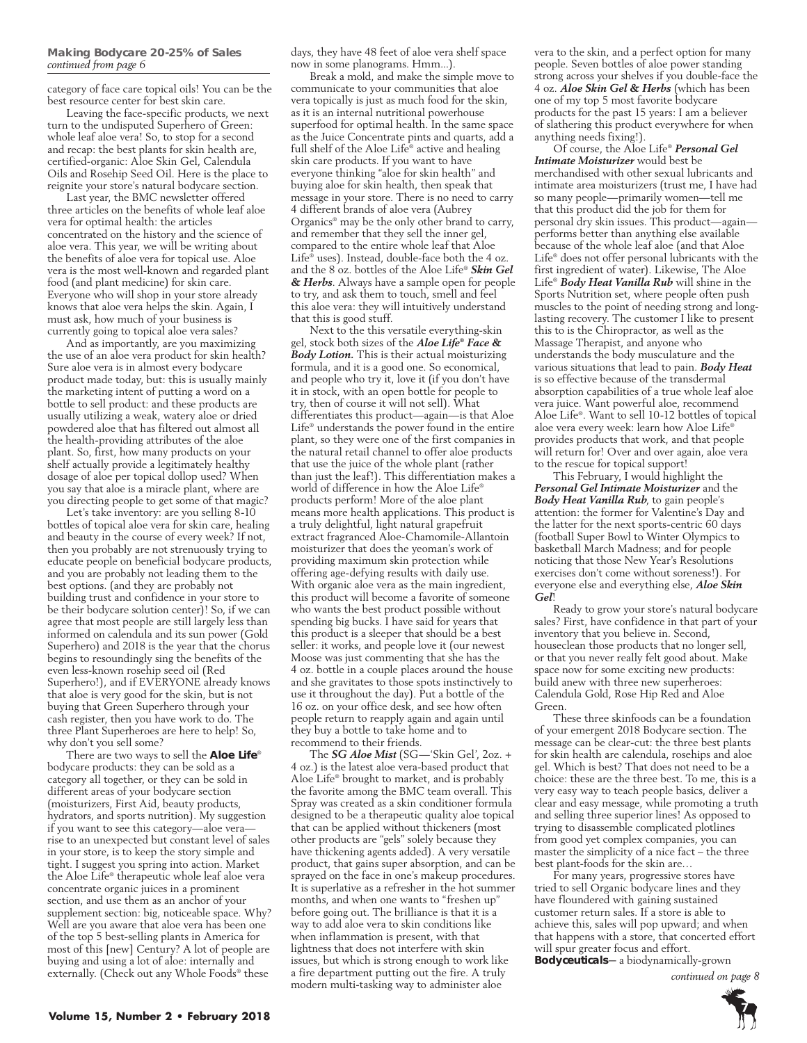category of face care topical oils! You can be the best resource center for best skin care.

Leaving the face-specific products, we next turn to the undisputed Superhero of Green: whole leaf aloe vera! So, to stop for a second and recap: the best plants for skin health are, certified-organic: Aloe Skin Gel, Calendula Oils and Rosehip Seed Oil. Here is the place to reignite your store's natural bodycare section.

Last year, the BMC newsletter offered three articles on the benefits of whole leaf aloe vera for optimal health: the articles concentrated on the history and the science of aloe vera. This year, we will be writing about the benefits of aloe vera for topical use. Aloe vera is the most well-known and regarded plant food (and plant medicine) for skin care. Everyone who will shop in your store already knows that aloe vera helps the skin. Again, I must ask, how much of your business is currently going to topical aloe vera sales?

And as importantly, are you maximizing the use of an aloe vera product for skin health? Sure aloe vera is in almost every bodycare product made today, but: this is usually mainly the marketing intent of putting a word on a bottle to sell product: and these products are usually utilizing a weak, watery aloe or dried powdered aloe that has filtered out almost all the health-providing attributes of the aloe plant. So, first, how many products on your shelf actually provide a legitimately healthy dosage of aloe per topical dollop used? When you say that aloe is a miracle plant, where are you directing people to get some of that magic?

Let's take inventory: are you selling 8-10 bottles of topical aloe vera for skin care, healing and beauty in the course of every week? If not, then you probably are not strenuously trying to educate people on beneficial bodycare products, and you are probably not leading them to the best options. (and they are probably not building trust and confidence in your store to be their bodycare solution center)! So, if we can agree that most people are still largely less than informed on calendula and its sun power (Gold Superhero) and 2018 is the year that the chorus begins to resoundingly sing the benefits of the even less-known rosehip seed oil (Red Superhero!), and if EVERYONE already knows that aloe is very good for the skin, but is not buying that Green Superhero through your cash register, then you have work to do. The three Plant Superheroes are here to help! So, why don't you sell some?

There are two ways to sell the **Aloe Life**® bodycare products: they can be sold as a category all together, or they can be sold in different areas of your bodycare section (moisturizers, First Aid, beauty products, hydrators, and sports nutrition). My suggestion if you want to see this category—aloe vera rise to an unexpected but constant level of sales in your store, is to keep the story simple and tight. I suggest you spring into action. Market the Aloe Life® therapeutic whole leaf aloe vera concentrate organic juices in a prominent section, and use them as an anchor of your supplement section: big, noticeable space. Why? Well are you aware that aloe vera has been one of the top 5 best-selling plants in America for most of this [new] Century? A lot of people are buying and using a lot of aloe: internally and externally. (Check out any Whole Foods® these

days, they have 48 feet of aloe vera shelf space now in some planograms. Hmm...).

Break a mold, and make the simple move to communicate to your communities that aloe vera topically is just as much food for the skin, as it is an internal nutritional powerhouse superfood for optimal health. In the same space as the Juice Concentrate pints and quarts, add a full shelf of the Aloe Life® active and healing skin care products. If you want to have everyone thinking "aloe for skin health" and buying aloe for skin health, then speak that message in your store. There is no need to carry 4 different brands of aloe vera (Aubrey Organics® may be the only other brand to carry, and remember that they sell the inner gel, compared to the entire whole leaf that Aloe Life® uses). Instead, double-face both the 4 oz. and the 8 oz. bottles of the Aloe Life® *Skin Gel & Herbs*. Always have a sample open for people to try, and ask them to touch, smell and feel this aloe vera: they will intuitively understand that this is good stuff.

Next to the this versatile everything-skin gel, stock both sizes of the *Aloe Life® Face & Body Lotion.* This is their actual moisturizing formula, and it is a good one. So economical, and people who try it, love it (if you don't have it in stock, with an open bottle for people to try, then of course it will not sell). What differentiates this product—again—is that Aloe Life® understands the power found in the entire plant, so they were one of the first companies in the natural retail channel to offer aloe products that use the juice of the whole plant (rather than just the leaf!). This differentiation makes a world of difference in how the Aloe Life® products perform! More of the aloe plant means more health applications. This product is a truly delightful, light natural grapefruit extract fragranced Aloe-Chamomile-Allantoin moisturizer that does the yeoman's work of providing maximum skin protection while offering age-defying results with daily use. With organic aloe vera as the main ingredient, this product will become a favorite of someone who wants the best product possible without spending big bucks. I have said for years that this product is a sleeper that should be a best seller: it works, and people love it (our newest Moose was just commenting that she has the 4 oz. bottle in a couple places around the house and she gravitates to those spots instinctively to use it throughout the day). Put a bottle of the 16 oz. on your office desk, and see how often people return to reapply again and again until they buy a bottle to take home and to recommend to their friends.

The *SG Aloe Mist* (SG—'Skin Gel', 2oz. + 4 oz.) is the latest aloe vera-based product that Aloe Life® brought to market, and is probably the favorite among the BMC team overall. This Spray was created as a skin conditioner formula designed to be a therapeutic quality aloe topical that can be applied without thickeners (most other products are "gels" solely because they have thickening agents added). A very versatile product, that gains super absorption, and can be sprayed on the face in one's makeup procedures. It is superlative as a refresher in the hot summer months, and when one wants to "freshen up" before going out. The brilliance is that it is a way to add aloe vera to skin conditions like when inflammation is present, with that lightness that does not interfere with skin issues, but which is strong enough to work like a fire department putting out the fire. A truly modern multi-tasking way to administer aloe

vera to the skin, and a perfect option for many people. Seven bottles of aloe power standing strong across your shelves if you double-face the 4 oz. *Aloe Skin Gel & Herbs* (which has been one of my top 5 most favorite bodycare products for the past 15 years: I am a believer of slathering this product everywhere for when anything needs fixing!).

Of course, the Aloe Life® *Personal Gel Intimate Moisturizer* would best be merchandised with other sexual lubricants and intimate area moisturizers (trust me, I have had so many people—primarily women—tell me that this product did the job for them for personal dry skin issues. This product—again performs better than anything else available because of the whole leaf aloe (and that Aloe Life® does not offer personal lubricants with the first ingredient of water). Likewise, The Aloe Life® *Body Heat Vanilla Rub* will shine in the Sports Nutrition set, where people often push muscles to the point of needing strong and longlasting recovery. The customer I like to present this to is the Chiropractor, as well as the Massage Therapist, and anyone who understands the body musculature and the various situations that lead to pain. *Body Heat*  is so effective because of the transdermal absorption capabilities of a true whole leaf aloe vera juice. Want powerful aloe, recommend Aloe Life®. Want to sell 10-12 bottles of topical aloe vera every week: learn how Aloe Life® provides products that work, and that people will return for! Over and over again, aloe vera to the rescue for topical support!

This February, I would highlight the *Personal Gel Intimate Moisturizer* and the *Body Heat Vanilla Rub*, to gain people's attention: the former for Valentine's Day and the latter for the next sports-centric 60 days (football Super Bowl to Winter Olympics to basketball March Madness; and for people noticing that those New Year's Resolutions exercises don't come without soreness!). For everyone else and everything else, *Aloe Skin Gel*!

Ready to grow your store's natural bodycare sales? First, have confidence in that part of your inventory that you believe in. Second, houseclean those products that no longer sell, or that you never really felt good about. Make space now for some exciting new products: build anew with three new superheroes: Calendula Gold, Rose Hip Red and Aloe Green.

These three skinfoods can be a foundation of your emergent 2018 Bodycare section. The message can be clear-cut: the three best plants for skin health are calendula, rosehips and aloe gel. Which is best? That does not need to be a choice: these are the three best. To me, this is a very easy way to teach people basics, deliver a clear and easy message, while promoting a truth and selling three superior lines! As opposed to trying to disassemble complicated plotlines from good yet complex companies, you can master the simplicity of a nice fact – the three best plant-foods for the skin are…

For many years, progressive stores have tried to sell Organic bodycare lines and they have floundered with gaining sustained customer return sales. If a store is able to achieve this, sales will pop upward; and when that happens with a store, that concerted effort will spur greater focus and effort.

**Bodyceuticals**—a biodynamically-grown

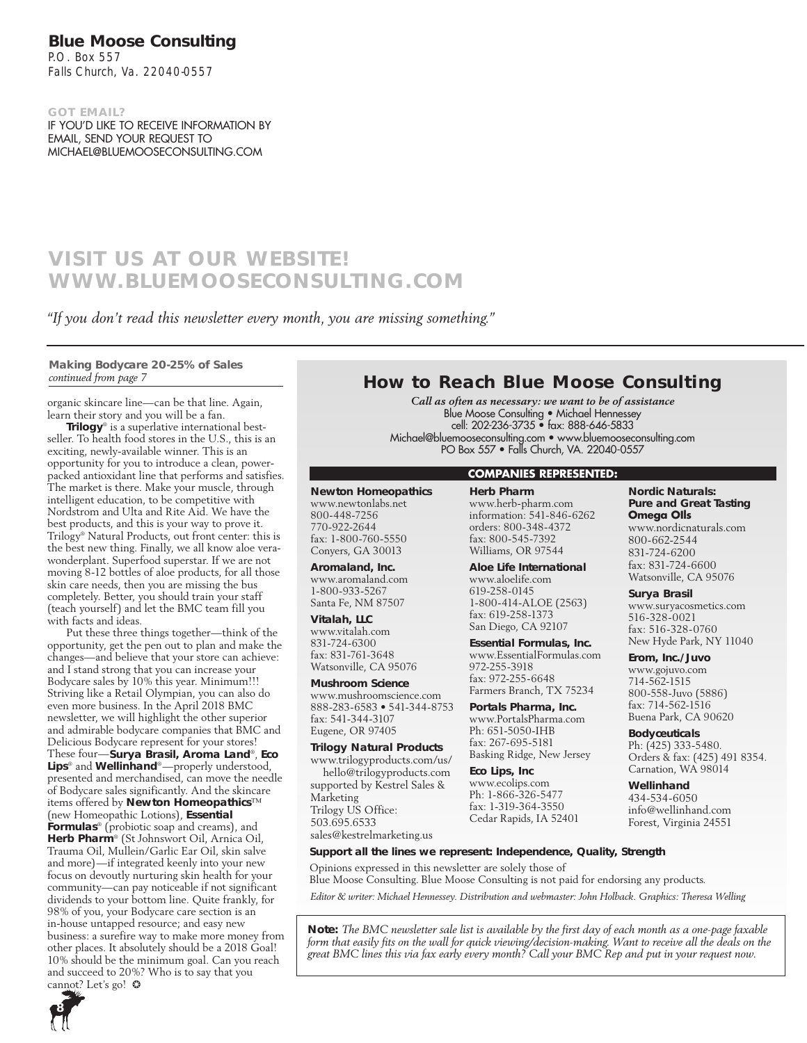### **Blue Moose Consulting**

P.O. Box 557 Falls Church, Va. 22040-0557

**got email?** If you'd like to receive information by email, send your request to Michael@bluemooseconsulting.com

### **VISIT us at our website! www.bluemooseconsulting.com**

*"If you don't read this newsletter every month, you are missing something."*

**Making Bodycare 20-25% of Sales**  *continued from page 7*

organic skincare line—can be that line. Again, learn their story and you will be a fan.

**Trilogy**® is a superlative international bestseller. To health food stores in the U.S., this is an exciting, newly-available winner. This is an opportunity for you to introduce a clean, powerpacked antioxidant line that performs and satisfies. The market is there. Make your muscle, through intelligent education, to be competitive with Nordstrom and Ulta and Rite Aid. We have the best products, and this is your way to prove it. Trilogy® Natural Products, out front center: this is the best new thing. Finally, we all know aloe verawonderplant. Superfood superstar. If we are not moving 8-12 bottles of aloe products, for all those skin care needs, then you are missing the bus completely. Better, you should train your staff (teach yourself) and let the BMC team fill you with facts and ideas.

Put these three things together—think of the opportunity, get the pen out to plan and make the changes—and believe that your store can achieve: and I stand strong that you can increase your Bodycare sales by 10% this year. Minimum!!! Striving like a Retail Olympian, you can also do even more business. In the April 2018 BMC newsletter, we will highlight the other superior and admirable bodycare companies that BMC and Delicious Bodycare represent for your stores! These four—**Surya Brasil, Aroma Land**®, **Eco Lips**® and **Wellinhand**®—properly understood, presented and merchandised, can move the needle of Bodycare sales significantly. And the skincare items offered by **Newton Homeopathics**™ (new Homeopathic Lotions), **Essential Formulas**® (probiotic soap and creams), and **Herb Pharm**® (St Johnswort Oil, Arnica Oil, Trauma Oil, Mullein/Garlic Ear Oil, skin salve and more)—if integrated keenly into your new focus on devoutly nurturing skin health for your community—can pay noticeable if not significant dividends to your bottom line. Quite frankly, for 98% of you, your Bodycare care section is an in-house untapped resource; and easy new business: a surefire way to make more money from other places. It absolutely should be a 2018 Goal! 10% should be the minimum goal. Can you reach and succeed to 20%? Who is to say that you cannot? Let's go!  $\odot$ 

### **How to Reach Blue Moose Consulting**

*Call as often as necessary: we want to be of assistance* Blue Moose Consulting • Michael Hennessey cell: 202-236-3735 • fax: 888-646-5833 Michael@bluemooseconsulting.com • www.bluemooseconsulting.com PO Box 557 • Falls Church, VA. 22040-0557

### **Companies represented:**

### **Newton Homeopathics**

www.newtonlabs.net 800-448-7256 770-922-2644 fax: 1-800-760-5550 Conyers, GA 30013

**Aromaland, Inc.** www.aromaland.com 1-800-933-5267 Santa Fe, NM 87507

**Vitalah, LLC**

www.vitalah.com 831-724-6300 fax: 831-761-3648 Watsonville, CA 95076

### **Mushroom Science**

www.mushroomscience.com 888-283-6583 • 541-344-8753 fax: 541-344-3107 Eugene, OR 97405

### **Trilogy Natural Products**

www.trilogyproducts.com/us/ hello@trilogyproducts.com supported by Kestrel Sales & Marketing Trilogy US Office: 503.695.6533 sales@kestrelmarketing.us

**Herb Pharm** www.herb-pharm.com information: 541-846-6262 orders: 800-348-4372 fax: 800-545-7392 Williams, OR 97544

**Aloe Life International** www.aloelife.com 619-258-0145 1-800-414-ALOE (2563) fax: 619-258-1373 San Diego, CA 92107

**Essential Formulas, Inc.** www.EssentialFormulas.com 972-255-3918 fax: 972-255-6648 Farmers Branch, TX 75234

**Portals Pharma, Inc.** www.PortalsPharma.com Ph: 651-5050-IHB fax: 267-695-5181 Basking Ridge, New Jersey

**Eco Lips, Inc** www.ecolips.com Ph: 1-866-326-5477 fax: 1-319-364-3550 Cedar Rapids, IA 52401 **Nordic Naturals: Pure and Great Tasting Omega OIls** www.nordicnaturals.com 800-662-2544 831-724-6200 fax: 831-724-6600 Watsonville, CA 95076

### **Surya Brasil**

www.suryacosmetics.com 516-328-0021 fax: 516-328-0760 New Hyde Park, NY 11040

**Erom, Inc./Juvo**

www.gojuvo.com 714-562-1515 800-558-Juvo (5886) fax: 714-562-1516 Buena Park, CA 90620

**Bodyceuticals** Ph: (425) 333-5480. Orders & fax: (425) 491 8354. Carnation, WA 98014

**Wellinhand** 434-534-6050 info@wellinhand.com Forest, Virginia 24551

**Support all the lines we represent: Independence, Quality, Strength**

Opinions expressed in this newsletter are solely those of Blue Moose Consulting. Blue Moose Consulting is not paid for endorsing any products.

*Editor & writer: Michael Hennessey. Distribution and webmaster: John Holback. Graphics: Theresa Welling* 

**Note:** *The BMC newsletter sale list is available by the first day of each month as a one-page faxable form that easily fits on the wall for quick viewing/decision-making. Want to receive all the deals on the great BMC lines this via fax early every month? Call your BMC Rep and put in your request now.*